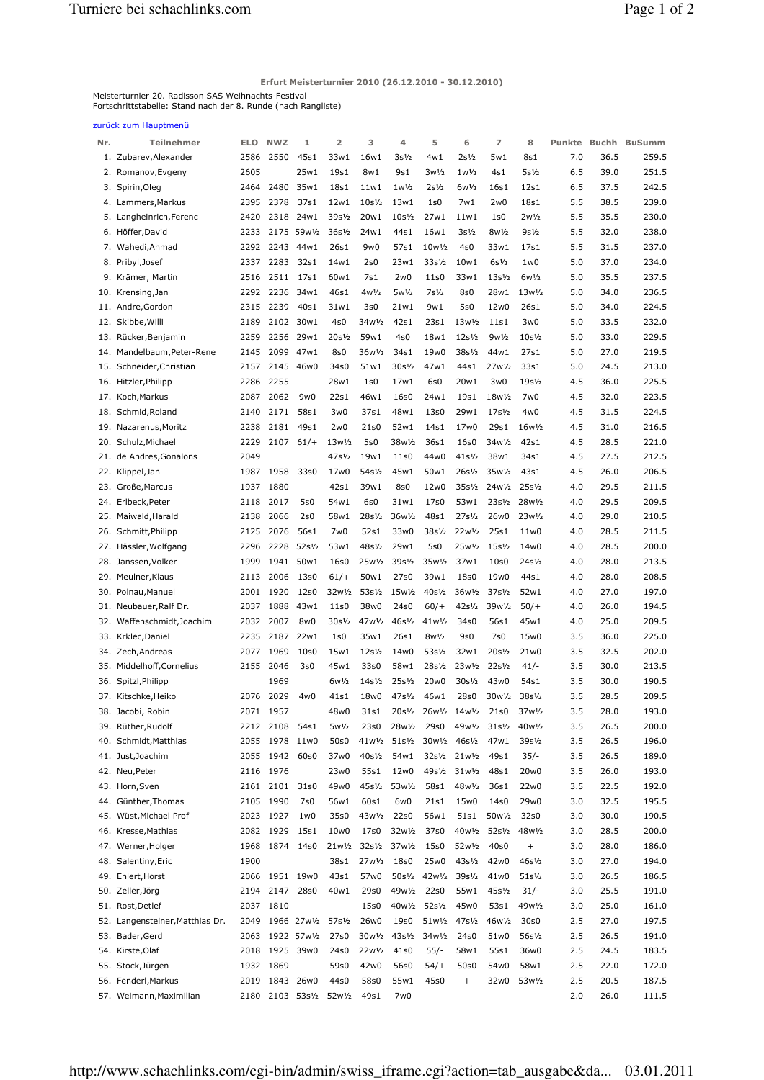Erfurt Meisterturnier 2010 (26.12.2010 - 30.12.2010)

Meisterturnier 20. Radisson SAS Weihnachts-Festival Fortschrittstabelle: Stand nach der 8. Runde (nach Rangliste)

zurück zum Hauptmenü

| Nr. | Teilnehmer                      | <b>ELO</b> | <b>NWZ</b>     | 1                       | 2                                 | 3                                 | 4                                 | 5                                 | 6                                 | 7                                 | 8                                 | Punkte | <b>Buchh</b> | <b>BuSumm</b> |
|-----|---------------------------------|------------|----------------|-------------------------|-----------------------------------|-----------------------------------|-----------------------------------|-----------------------------------|-----------------------------------|-----------------------------------|-----------------------------------|--------|--------------|---------------|
|     | 1. Zubarev, Alexander           | 2586       | 2550           | 45s1                    | 33w1                              | 16w1                              | $3s\frac{1}{2}$                   | 4w1                               | $2s\frac{1}{2}$                   | 5w1                               | 8s1                               | 7.0    | 36.5         | 259.5         |
| 2.  | Romanov, Evgeny                 | 2605       |                | 25w1                    | 19s1                              | 8w1                               | 9s1                               | $3w\frac{1}{2}$                   | $1w\frac{1}{2}$                   | 4s1                               | $5s\frac{1}{2}$                   | 6.5    | 39.0         | 251.5         |
|     | 3. Spirin, Oleg                 | 2464       | 2480           | 35w1                    | 18s1                              | 11w1                              | $1w\frac{1}{2}$                   | $2s\frac{1}{2}$                   | $6w\frac{1}{2}$                   | 16s1                              | 12s1                              | 6.5    | 37.5         | 242.5         |
| 4.  | Lammers, Markus                 | 2395       | 2378           | 37s1                    | 12w1                              | $10s\frac{1}{2}$                  | 13w1                              | 1s0                               | 7w1                               | 2w0                               | 18s1                              | 5.5    | 38.5         | 239.0         |
| 5.  | Langheinrich, Ferenc            | 2420       | 2318           | 24w1                    | 39s1/ <sub>2</sub>                | 20w1                              | $10s$ <sup>1</sup> / <sub>2</sub> | 27w1                              | 11w1                              | 1s0                               | $2w\frac{1}{2}$                   | 5.5    | 35.5         | 230.0         |
|     | 6. Höffer, David                | 2233       |                | 2175 59w1/2             | $36s$ <sup>1</sup> / <sub>2</sub> | 24w1                              | 44s1                              | 16w1                              | $3s\frac{1}{2}$                   | $8w\frac{1}{2}$                   | $9s\frac{1}{2}$                   | 5.5    | 32.0         | 238.0         |
|     | 7. Wahedi, Ahmad                | 2292       | 2243           | 44w1                    | 26s1                              | 9w0                               | 57s1                              | 10w1/2                            | 4s0                               | 33w1                              | 17s1                              | 5.5    | 31.5         | 237.0         |
| 8.  | Pribyl, Josef                   | 2337       | 2283           | 32s1                    | 14w1                              | 2s0                               | 23w1                              | $33s\frac{1}{2}$                  | 10w1                              | $6s\frac{1}{2}$                   | 1w0                               | 5.0    | 37.0         | 234.0         |
| 9.  | Krämer, Martin                  | 2516       | 2511           | 17s1                    | 60w1                              | 7s1                               | 2w0                               | 11s0                              | 33w1                              | $13s$ <sup><math>1/2</math></sup> | $6w\frac{1}{2}$                   | 5.0    | 35.5         | 237.5         |
| 10. | Krensing, Jan                   | 2292       | 2236           | 34w1                    | 46s1                              | $4w\frac{1}{2}$                   | $5w\frac{1}{2}$                   | $7s\frac{1}{2}$                   | 8s0                               | 28w1                              | 13w1/2                            | 5.0    | 34.0         | 236.5         |
| 11. | Andre, Gordon                   | 2315       | 2239           | 40s1                    | 31w1                              | 3s0                               | 21w1                              | 9w1                               | 5s0                               | 12w0                              | 26s1                              | 5.0    | 34.0         | 224.5         |
| 12. | Skibbe, Willi                   | 2189       | 2102           | 30w1                    | 4s0                               | 34w1/2                            | 42s1                              | 23s1                              | $13w\frac{1}{2}$                  | 11s1                              | 3w0                               | 5.0    | 33.5         | 232.0         |
| 13. | Rücker, Benjamin                | 2259       | 2256           | 29w1                    | $20s\frac{1}{2}$                  | 59w1                              | 4s0                               | 18w1                              | $12s\frac{1}{2}$                  | $9w\frac{1}{2}$                   | $10s\frac{1}{2}$                  | 5.0    | 33.0         | 229.5         |
| 14. | Mandelbaum, Peter-Rene          | 2145       | 2099           | 47w1                    | 8s0                               | 36w1/2                            | 34s1                              | 19w0                              | $38s\frac{1}{2}$                  | 44w1                              | 27s1                              | 5.0    | 27.0         | 219.5         |
| 15. | Schneider, Christian            | 2157       | 2145           | 46w0                    | 34s0                              | 51w1                              | 30s1/ <sub>2</sub>                | 47w1                              | 44s1                              | 27w1/2                            | 33s1                              | 5.0    | 24.5         | 213.0         |
|     | 16. Hitzler, Philipp            | 2286       | 2255           |                         | 28w1                              | 1s0                               | 17w1                              | 6s0                               | 20w1                              | 3w0                               | $19s$ <sup>1</sup> / <sub>2</sub> | 4.5    | 36.0         | 225.5         |
| 17. | Koch, Markus                    | 2087       | 2062           | 9w0                     | 22s1                              | 46w1                              | 16s0                              | 24w1                              | 19s1                              | 18w1/2                            | 7w0                               | 4.5    | 32.0         | 223.5         |
| 18. | Schmid, Roland                  | 2140       | 2171           | 58s1                    | 3w0                               | 37s1                              | 48w1                              | 13s0                              | 29w1                              | $17s$ <sup>1</sup> / <sub>2</sub> | 4w0                               | 4.5    | 31.5         | 224.5         |
| 19. | Nazarenus, Moritz               | 2238       | 2181           | 49s1                    | 2w0                               | 21s0                              | 52w1                              | 14s1                              | 17w0                              | 29s1                              | 16w1/2                            | 4.5    | 31.0         | 216.5         |
| 20. | Schulz, Michael                 | 2229       | 2107           | $61/+$                  | 13w1/2                            | 5s0                               | 38w1/2                            | 36s1                              | 16s0                              | 34w1/2                            | 42s1                              | 4.5    | 28.5         | 221.0         |
| 21. | de Andres, Gonalons             | 2049       |                |                         | 47s1/ <sub>2</sub>                | 19w1                              | 11s0                              | 44w0                              | 41s½                              | 38w1                              | 34s1                              | 4.5    | 27.5         | 212.5         |
| 22. | Klippel, Jan                    | 1987       | 1958           | 33s0                    | 17w0                              | $54s$ <sup>1/2</sup>              | 45w1                              | 50w1                              | $26s$ <sup>1</sup> / <sub>2</sub> | $35w\frac{1}{2}$                  | 43s1                              | 4.5    | 26.0         | 206.5         |
|     |                                 | 1937       | 1880           |                         | 42s1                              | 39w1                              | 8s0                               | 12w0                              | $35s$ <sup>1/2</sup>              | 24w1/2 25s1/2                     |                                   | 4.0    | 29.5         | 211.5         |
| 23. | Große, Marcus                   | 2118       |                |                         |                                   |                                   |                                   |                                   |                                   |                                   |                                   |        | 29.5         |               |
| 24. | Erlbeck, Peter                  |            | 2017           | 5s0                     | 54w1                              | 6s0                               | 31w1                              | 17s0                              | 53w1                              | $23s\frac{1}{2}$                  | 28w1/2                            | 4.0    |              | 209.5         |
| 25. | Maiwald, Harald                 | 2138       | 2066           | 2s0                     | 58w1                              | 28s1/ <sub>2</sub>                | 36w <sup>1</sup> / <sub>2</sub>   | 48s1                              | $27s$ <sup>1</sup> / <sub>2</sub> | 26w0                              | $23w\frac{1}{2}$                  | 4.0    | 29.0         | 210.5         |
|     | 26. Schmitt, Philipp            | 2125       | 2076           | 56s1                    | 7w0                               | 52s1                              | 33w0                              | 38s1/ <sub>2</sub>                | $22w\frac{1}{2}$                  | 25s1                              | 11w0                              | 4.0    | 28.5         | 211.5         |
| 27. | Hässler, Wolfgang               | 2296       | 2228           | $52s\frac{1}{2}$        | 53w1                              | 48s1/ <sub>2</sub>                | 29w1                              | 5s0                               | 25w1/2                            | $15s$ <sup>1</sup> / <sub>2</sub> | 14w0                              | 4.0    | 28.5         | 200.0         |
|     | 28. Janssen, Volker             | 1999       | 1941           | 50w1                    | 16s0                              | 25w1/2                            | 39s <sup>1</sup> / <sub>2</sub>   | 35w1/2                            | 37w1                              | 10 <sub>50</sub>                  | 24s <sup>1</sup> / <sub>2</sub>   | 4.0    | 28.0         | 213.5         |
| 29. | Meulner, Klaus                  | 2113       | 2006           | 13s0                    | $61/+$                            | 50w1                              | 27s0                              | 39w1                              | 18s0                              | 19w0                              | 44s1                              | 4.0    | 28.0         | 208.5         |
| 30. | Polnau, Manuel                  | 2001       | 1920           | 12s0                    | 32w1/2                            | $53s\frac{1}{2}$                  | 15w1/2                            | $40s$ <sup>1</sup> / <sub>2</sub> | 36w1/2                            | $37s$ <sup>1/2</sup>              | 52w1                              | 4.0    | 27.0         | 197.0         |
| 31. | Neubauer, Ralf Dr.              | 2037       | 1888           | 43w1                    | 11s0                              | 38w0                              | 24s0                              | $60/+$                            | 42s <sup>1</sup> / <sub>2</sub>   | 39w1/2                            | $50/+$                            | 4.0    | 26.0         | 194.5         |
| 32. | Waffenschmidt, Joachim          | 2032       | 2007           | 8w0                     | 30s1/ <sub>2</sub>                | 47w1/2                            | 46s <sup>1</sup> / <sub>2</sub>   | $41w\frac{1}{2}$                  | 34s0                              | 56s1                              | 45w1                              | 4.0    | 25.0         | 209.5         |
| 33. | Krklec, Daniel                  | 2235       | 2187           | 22w1                    | 1s0                               | 35w1                              | 26s1                              | $8w\frac{1}{2}$                   | 9s0                               | 7s0                               | 15w0                              | 3.5    | 36.0         | 225.0         |
| 34. | Zech, Andreas                   | 2077       | 1969           | 10 <sub>50</sub>        | 15w1                              | $12s\frac{1}{2}$                  | 14w0                              | 53s1/ <sub>2</sub>                | 32w1                              | $20s\frac{1}{2}$                  | 21w0                              | 3.5    | 32.5         | 202.0         |
| 35. | Middelhoff, Cornelius           | 2155       | 2046           | 3s0                     | 45w1                              | 33s0                              | 58w1                              | $28s\frac{1}{2}$                  | $23w\frac{1}{2}$                  | $22s\frac{1}{2}$                  | $41/-$                            | 3.5    | 30.0         | 213.5         |
| 36. | Spitzl, Philipp                 |            | 1969           |                         | $6w\frac{1}{2}$                   | $14s$ <sup>1</sup> / <sub>2</sub> | $25s$ <sup>1</sup> / <sub>2</sub> | 20w0                              | $30s\frac{1}{2}$                  | 43w0                              | 54s1                              | 3.5    | 30.0         | 190.5         |
|     | 37. Kitschke, Heiko             | 2076       | 2029           | 4w0                     | 41s1                              | 18w0                              | 47s1/ <sub>2</sub>                | 46w1                              | 28s0                              | 30w1/2                            | 38s <sup>1</sup> / <sub>2</sub>   | 3.5    | 28.5         | 209.5         |
|     | 38. Jacobi, Robin               | 2071       | 1957           |                         | 48w0                              | 31s1                              | $20s\frac{1}{2}$                  |                                   | 26w1/2 14w1/2                     | 21s0                              | 37w1/2                            | 3.5    | 28.0         | 193.0         |
|     | 39. Rüther, Rudolf              |            | 2212 2108 54s1 |                         | 5w1/2                             | 23s0                              | 28w1/2                            | 29s0                              |                                   | 49w1/2 31s1/2                     | 40w <sup>1</sup> / <sub>2</sub>   | 3.5    | 26.5         | 200.0         |
|     | 40. Schmidt, Matthias           |            | 2055 1978 11w0 |                         | 50s0                              | 41w1/2                            | $51s\frac{1}{2}$                  | 30w1/2                            | $46s$ <sup>1</sup> / <sub>2</sub> | 47w1                              | 39s <sup>1</sup> / <sub>2</sub>   | 3.5    | 26.5         | 196.0         |
|     | 41. Just, Joachim               |            | 2055 1942 60s0 |                         | 37w0                              | 40s <sup>1</sup> / <sub>2</sub>   | 54w1                              | $32s\frac{1}{2}$                  | $21w\frac{1}{2}$                  | 49s1                              | $35/-$                            | 3.5    | 26.5         | 189.0         |
|     | 42. Neu, Peter                  |            | 2116 1976      |                         | 23w0                              | 55s1                              | 12w0                              | 49s1/ <sub>2</sub>                | $31w\frac{1}{2}$                  | 48s1                              | 20w0                              | 3.5    | 26.0         | 193.0         |
|     | 43. Horn, Sven                  |            | 2161 2101      | 31s0                    | 49w0                              | 45s1/ <sub>2</sub>                | 53w1/2                            | 58s1                              | 48w1/2                            | 36s1                              | 22w0                              | 3.5    | 22.5         | 192.0         |
|     | 44. Günther, Thomas             |            | 2105 1990      | 7s0                     | 56w1                              | 60s1                              | 6w0                               | 21s1                              | 15w0                              | 14s0                              | 29w0                              | 3.0    | 32.5         | 195.5         |
|     | 45. Wüst, Michael Prof          |            | 2023 1927      | 1w0                     | 35s0                              | 43w1/2                            | 22s0                              | 56w1                              | 51s1                              | 50w1/2                            | 32s0                              | 3.0    | 30.0         | 190.5         |
|     | 46. Kresse, Mathias             |            | 2082 1929      | 15s1                    | 10w0                              | 17s0                              | 32w1/2                            | 37s0                              | 40w <sup>1</sup> / <sub>2</sub>   | $52s\frac{1}{2}$                  | 48w1/2                            | 3.0    | 28.5         | 200.0         |
|     | 47. Werner, Holger              |            | 1968 1874 14s0 |                         | $21w\frac{1}{2}$                  | $32s\frac{1}{2}$                  | 37w1/2                            | 15s0                              | 52w1/2                            | 40s0                              | $+$                               | 3.0    | 28.0         | 186.0         |
|     | 48. Salentiny, Eric             | 1900       |                |                         | 38s1                              | 27w1/2                            | 18s0                              | 25w0                              | $43s\frac{1}{2}$                  | 42w0                              | 46s <sup>1</sup> / <sub>2</sub>   | 3.0    | 27.0         | 194.0         |
|     | 49. Ehlert, Horst               |            | 2066 1951 19w0 |                         | 43s1                              | 57w0                              | $50s\frac{1}{2}$                  | 42w1/2                            | $39s\frac{1}{2}$                  | 41w0                              | $51s$ <sup>1</sup> / <sub>2</sub> | 3.0    | 26.5         | 186.5         |
|     | 50. Zeller, Jörg                | 2194       | 2147           | 28s0                    | 40w1                              | 29s0                              | 49w1/2                            | 22s0                              | 55w1                              | 45s <sup>1</sup> / <sub>2</sub>   | $31/-$                            | 3.0    | 25.5         | 191.0         |
|     | 51. Rost, Detlef                | 2037       | 1810           |                         |                                   | 15s0                              | 40w <sup>1</sup> / <sub>2</sub>   | $52s\frac{1}{2}$                  | 45w0                              | 53s1                              | 49w1/2                            | 3.0    | 25.0         | 161.0         |
|     | 52. Langensteiner, Matthias Dr. | 2049       |                | 1966 27w1/2             | $57s\frac{1}{2}$                  | 26w0                              | 19s0                              | 51w1/2                            | 47s1/ <sub>2</sub>                | 46w1/2                            | 30s0                              | 2.5    | 27.0         | 197.5         |
|     | 53. Bader, Gerd                 | 2063       |                | 1922 57w1/2             | 27s0                              | $30w\frac{1}{2}$                  | $43s\frac{1}{2}$                  | 34w <sup>1</sup> / <sub>2</sub>   | 24s0                              | 51w0                              | 56s <sup>1</sup> / <sub>2</sub>   | 2.5    | 26.5         | 191.0         |
| 54. | Kirste, Olaf                    | 2018       |                | 1925 39w0               | 24s0                              | 22w <sup>1</sup> / <sub>2</sub>   | 41s0                              | $55/-$                            | 58w1                              | 55s1                              | 36w0                              | 2.5    | 24.5         | 183.5         |
| 55. | Stock, Jürgen                   |            | 1932 1869      |                         | 59s0                              | 42w0                              | 56s0                              | 54/                               | 50s0                              | 54w0                              | 58w1                              | 2.5    | 22.0         | 172.0         |
|     | 56. Fenderl, Markus             | 2019       |                | 1843 26w0               | 44s0                              | 58s0                              | 55w1                              | 45s0                              | $+$                               | 32w0                              | 53w1/2                            | 2.5    | 20.5         | 187.5         |
|     | 57. Weimann, Maximilian         |            |                | 2180 2103 53s1/2 52w1/2 |                                   | 49s1                              | 7w0                               |                                   |                                   |                                   |                                   | 2.0    | 26.0         | 111.5         |